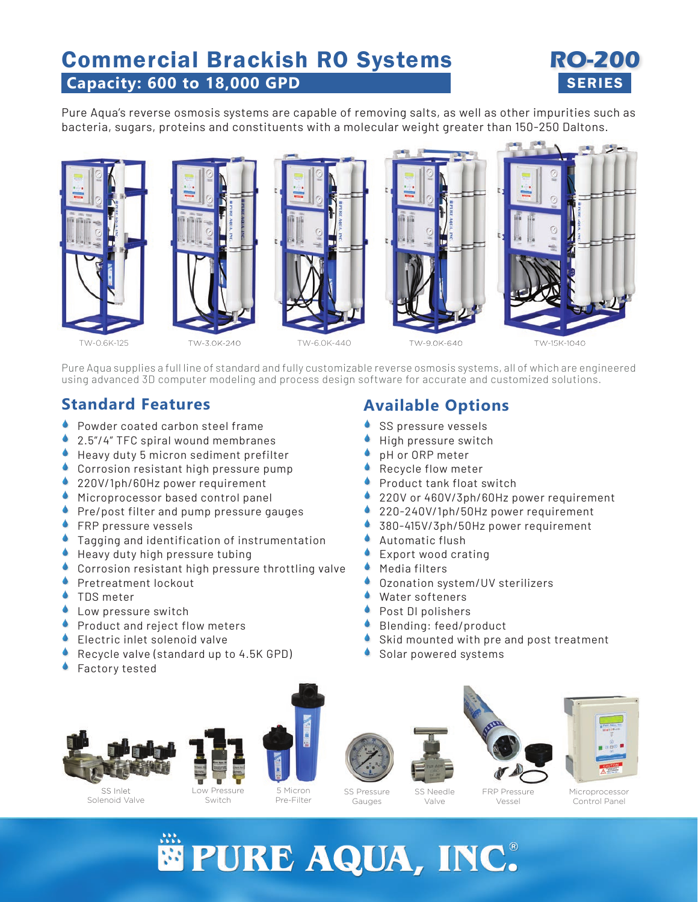# **Capacity: 600 to 18,000 GPD** Commercial Brackish RO Systems



Pure Aqua's reverse osmosis systems are capable of removing salts, as well as other impurities such as bacteria, sugars, proteins and constituents with a molecular weight greater than 150-250 Daltons.



Pure Aqua supplies a full line of standard and fully customizable reverse osmosis systems, all of which are engineered using advanced 3D computer modeling and process design software for accurate and customized solutions.

### **Standard Features**

- **Powder coated carbon steel frame**
- 2.5"/4" TFC spiral wound membranes  $\blacklozenge$
- Heavy duty 5 micron sediment prefilter
- Corrosion resistant high pressure pump
- 220V/1ph/60Hz power requirement
- **Microprocessor based control panel**
- Pre/post filter and pump pressure gauges  $\bullet$
- **FRP** pressure vessels
- **Tagging and identification of instrumentation**
- Heavy duty high pressure tubing ۰
- Corrosion resistant high pressure throttling valve ۰
- Pretreatment lockout ۸
- TDS meter ۸
- Low pressure switch ۰
- Product and reject flow meters  $\blacklozenge$
- Electric inlet solenoid valve ۸
- Recycle valve (standard up to 4.5K GPD)  $\blacklozenge$
- Factory tested ۰

SS Inlet Solenoid Valve

# Low Pressure

Switch









Microprocessor Control Panel

5 Micron Pre-Filter

SS Pressure Gauges

SS Needle Valve

FRP Pressure Vessel



**Available Options**

- SS pressure vessels  $\blacklozenge$
- High pressure switch  $\blacklozenge$
- pH or ORP meter  $\blacklozenge$
- Recycle flow meter  $\blacklozenge$
- Product tank float switch  $\blacklozenge$
- 220V or 460V/3ph/60Hz power requirement  $\blacklozenge$
- 220-240V/1ph/50Hz power requirement  $\blacklozenge$
- 380-415V/3ph/50Hz power requirement  $\blacklozenge$
- Automatic flush  $\blacklozenge$
- Export wood crating  $\blacklozenge$
- Media filters  $\blacklozenge$
- Ozonation system/UV sterilizers  $\blacklozenge$
- Water softeners  $\blacklozenge$
- Post DI polishers  $\blacklozenge$
- Blending: feed/product  $\blacklozenge$
- Skid mounted with pre and post treatment  $\bullet$
- Solar powered systems  $\blacklozenge$